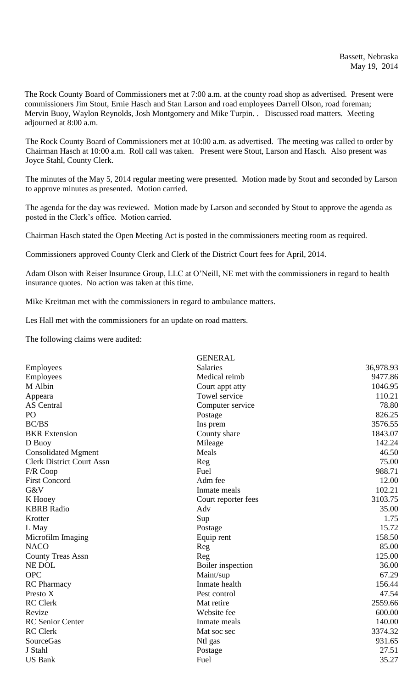The Rock County Board of Commissioners met at 7:00 a.m. at the county road shop as advertised. Present were commissioners Jim Stout, Ernie Hasch and Stan Larson and road employees Darrell Olson, road foreman; Mervin Buoy, Waylon Reynolds, Josh Montgomery and Mike Turpin. . Discussed road matters. Meeting adjourned at 8:00 a.m.

The Rock County Board of Commissioners met at 10:00 a.m. as advertised. The meeting was called to order by Chairman Hasch at 10:00 a.m. Roll call was taken. Present were Stout, Larson and Hasch. Also present was Joyce Stahl, County Clerk.

The minutes of the May 5, 2014 regular meeting were presented. Motion made by Stout and seconded by Larson to approve minutes as presented. Motion carried.

The agenda for the day was reviewed. Motion made by Larson and seconded by Stout to approve the agenda as posted in the Clerk's office. Motion carried.

Chairman Hasch stated the Open Meeting Act is posted in the commissioners meeting room as required.

Commissioners approved County Clerk and Clerk of the District Court fees for April, 2014.

Adam Olson with Reiser Insurance Group, LLC at O'Neill, NE met with the commissioners in regard to health insurance quotes. No action was taken at this time.

Mike Kreitman met with the commissioners in regard to ambulance matters.

Les Hall met with the commissioners for an update on road matters.

The following claims were audited:

|                                  | <b>GENERAL</b>      |           |
|----------------------------------|---------------------|-----------|
| <b>Employees</b>                 | <b>Salaries</b>     | 36,978.93 |
| Employees                        | Medical reimb       | 9477.86   |
| M Albin                          | Court appt atty     | 1046.95   |
| Appeara                          | Towel service       | 110.21    |
| <b>AS</b> Central                | Computer service    | 78.80     |
| PO                               | Postage             | 826.25    |
| <b>BC/BS</b>                     | Ins prem            | 3576.55   |
| <b>BKR</b> Extension             | County share        | 1843.07   |
| D Buoy                           | Mileage             | 142.24    |
| <b>Consolidated Mgment</b>       | Meals               | 46.50     |
| <b>Clerk District Court Assn</b> | Reg                 | 75.00     |
| F/R Coop                         | Fuel                | 988.71    |
| <b>First Concord</b>             | Adm fee             | 12.00     |
| G&V                              | Inmate meals        | 102.21    |
| K Hooey                          | Court reporter fees | 3103.75   |
| <b>KBRB</b> Radio                | Adv                 | 35.00     |
| Krotter                          | Sup                 | 1.75      |
| L May                            | Postage             | 15.72     |
| Microfilm Imaging                | Equip rent          | 158.50    |
| <b>NACO</b>                      | Reg                 | 85.00     |
| <b>County Treas Assn</b>         | Reg                 | 125.00    |
| NE DOL                           | Boiler inspection   | 36.00     |
| <b>OPC</b>                       | Maint/sup           | 67.29     |
| <b>RC</b> Pharmacy               | Inmate health       | 156.44    |
| Presto X                         | Pest control        | 47.54     |
| <b>RC</b> Clerk                  | Mat retire          | 2559.66   |
| Revize                           | Website fee         | 600.00    |
| <b>RC</b> Senior Center          | Inmate meals        | 140.00    |
| <b>RC</b> Clerk                  | Mat soc sec         | 3374.32   |
| SourceGas                        | Ntl gas             | 931.65    |
| J Stahl                          | Postage             | 27.51     |
| <b>US Bank</b>                   | Fuel                | 35.27     |